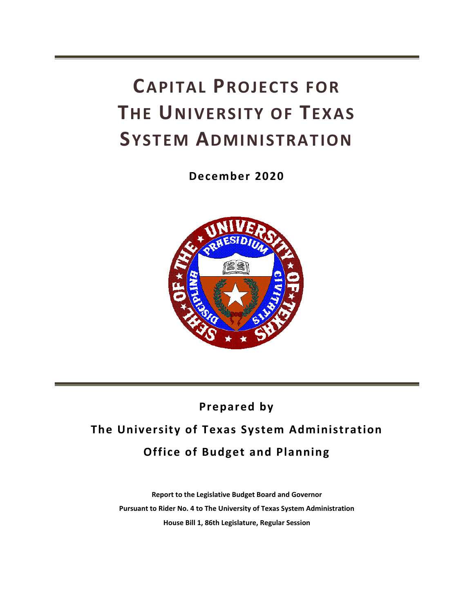# **CAPITAL PROJECTS FOR THE UNIVERSITY OF TEXAS SYSTEM ADMINISTRATION**

**December 2020**



## **Prepared by**

## **The University of Texas System Administration Office of Budget and Planning**

**Report to the Legislative Budget Board and Governor Pursuant to Rider No. 4 to The University of Texas System Administration House Bill 1, 86th Legislature, Regular Session**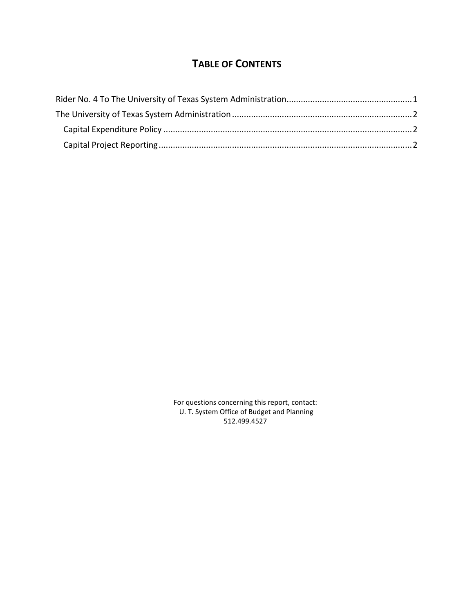### **TABLE OF CONTENTS**

For questions concerning this report, contact: U. T. System Office of Budget and Planning 512.499.4527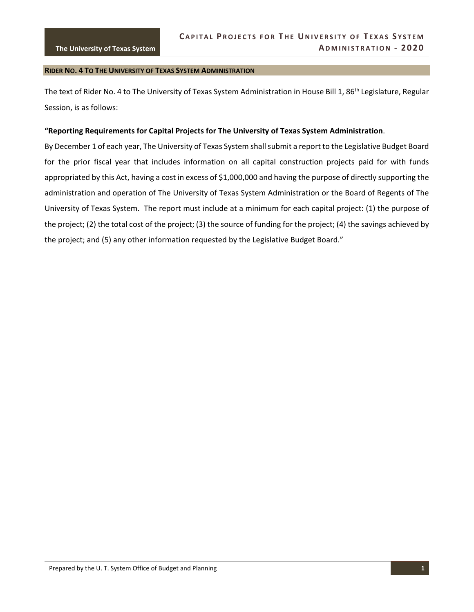#### <span id="page-4-0"></span>**RIDER NO. 4 TO THE UNIVERSITY OF TEXAS SYSTEM ADMINISTRATION**

The text of Rider No. 4 to The University of Texas System Administration in House Bill 1, 86<sup>th</sup> Legislature, Regular Session, is as follows:

#### **"Reporting Requirements for Capital Projects for The University of Texas System Administration**.

By December 1 of each year, The University of Texas System shall submit a report to the Legislative Budget Board for the prior fiscal year that includes information on all capital construction projects paid for with funds appropriated by this Act, having a cost in excess of \$1,000,000 and having the purpose of directly supporting the administration and operation of The University of Texas System Administration or the Board of Regents of The University of Texas System. The report must include at a minimum for each capital project: (1) the purpose of the project; (2) the total cost of the project; (3) the source of funding for the project; (4) the savings achieved by the project; and (5) any other information requested by the Legislative Budget Board."